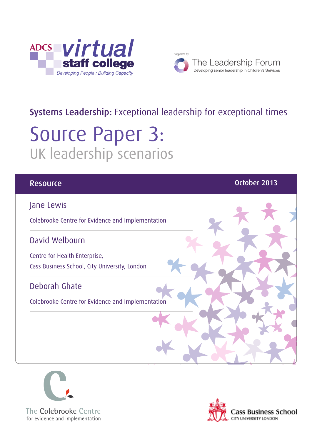



# Systems Leadership: Exceptional leadership for exceptional times

# Source Paper 3: UK leadership scenarios

#### **Resource Community Community Community Community Community Community Community Community Community Community** Co

#### Jane Lewis

Colebrooke Centre for Evidence and Implementation

#### David Welbourn

Centre for Health Enterprise, Cass Business School, City University, London

#### Deborah Ghate

Colebrooke Centre for Evidence and Implementation



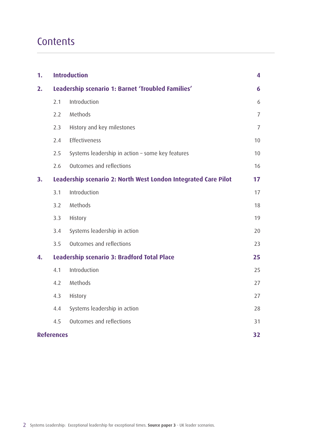# **Contents**

| 1. | <b>Introduction</b>                                            |                                                  | 4              |
|----|----------------------------------------------------------------|--------------------------------------------------|----------------|
| 2. | Leadership scenario 1: Barnet 'Troubled Families'              |                                                  |                |
|    | 2.1                                                            | Introduction                                     | 6              |
|    | 2.2                                                            | Methods                                          | $\overline{7}$ |
|    | 2.3                                                            | History and key milestones                       | $\overline{7}$ |
|    | 2.4                                                            | Effectiveness                                    | 10             |
|    | 2.5                                                            | Systems leadership in action - some key features | 10             |
|    | 2.6                                                            | Outcomes and reflections                         | 16             |
| 3. | Leadership scenario 2: North West London Integrated Care Pilot |                                                  |                |
|    | 3.1                                                            | Introduction                                     | 17             |
|    | 3.2                                                            | Methods                                          | 18             |
|    | 3.3                                                            | History                                          | 19             |
|    | 3.4                                                            | Systems leadership in action                     | 20             |
|    | 3.5                                                            | Outcomes and reflections                         | 23             |
| 4. | Leadership scenario 3: Bradford Total Place                    |                                                  |                |
|    | 4.1                                                            | Introduction                                     | 25             |
|    | 4.2                                                            | Methods                                          | 27             |
|    | 4.3                                                            | History                                          | 27             |
|    | 4.4                                                            | Systems leadership in action                     | 28             |
|    | 4.5                                                            | Outcomes and reflections                         | 31             |
|    | <b>References</b>                                              |                                                  |                |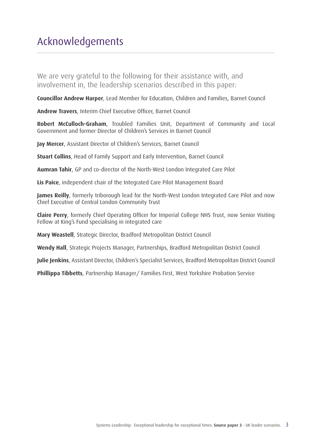We are very grateful to the following for their assistance with, and involvement in, the leadership scenarios described in this paper:

**Councillor Andrew Harper**, Lead Member for Education, Children and Families, Barnet Council

**Andrew Travers**, Interim Chief Executive Officer, Barnet Council

**Robert McCulloch-Graham**, Troubled Families Unit, Department of Community and Local Government and former Director of Children's Services in Barnet Council

**Jay Mercer**, Assistant Director of Children's Services, Barnet Council

**Stuart Collins**, Head of Family Support and Early Intervention, Barnet Council

**Aumran Tahir**, GP and co-director of the North-West London Integrated Care Pilot

**Lis Paice**, independent chair of the Integrated Care Pilot Management Board

**James Reilly**, formerly triborough lead for the North-West London Integrated Care Pilot and now Chief Executive of Central London Community Trust

**Claire Perry**, formerly Chief Operating Officer for Imperial College NHS Trust, now Senior Visiting Fellow at King's Fund specialising in integrated care

**Mary Weastell**, Strategic Director, Bradford Metropolitan District Council

**Wendy Hall**, Strategic Projects Manager, Partnerships, Bradford Metropolitan District Council

**Julie Jenkins**, Assistant Director, Children's Specialist Services, Bradford Metropolitan District Council

**Phillippa Tibbetts**, Partnership Manager/ Families First, West Yorkshire Probation Service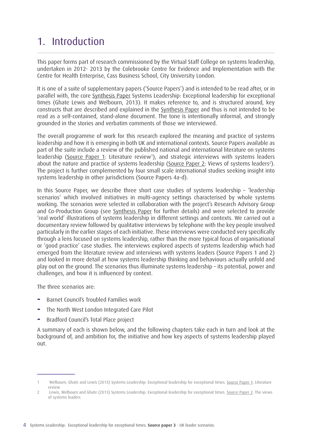# 1. Introduction

This paper forms part of research commissioned by the Virtual Staff College on systems leadership, undertaken in 2012- 2013 by the Colebrooke Centre for Evidence and Implementation with the Centre for Health Enterprise, Cass Business School, City University London.

It is one of a suite of supplementary papers ('Source Papers') and is intended to be read after, or in parallel with, the core [Synthesis Paper](http://www.virtualstaffcollege.co.uk/wp-content/uploads/VSC_Synthesis_complete.pdf) Systems Leadership: Exceptional leadership for exceptional times (Ghate Lewis and Welbourn, 2013). It makes reference to, and is structured around, key constructs that are described and explained in the [Synthesis Paper](http://www.virtualstaffcollege.co.uk/wp-content/uploads/VSC_Synthesis_complete.pdf) and thus is not intended to be read as a self-contained, stand-alone document. The tone is intentionally informal, and strongly grounded in the stories and verbatim comments of those we interviewed.

The overall programme of work for this research explored the meaning and practice of systems leadership and how it is emerging in both UK and international contexts. Source Papers available as part of the suite include a review of the published national and international literature on systems leadership ([Source Paper 1](http://www.virtualstaffcollege.co.uk/wp-content/uploads/literature_review_complete.pdf): Literature review<sup>1</sup>), and strategic interviews with systems leaders about the nature and practice of systems leadership [\(Source Paper 2:](http://www.virtualstaffcollege.co.uk/wp-content/uploads/strategic_interviews_complete.pdf) Views of systems leaders<sup>2</sup>). The project is further complemented by four small scale international studies seeking insight into systems leadership in other jurisdictions (Source Papers 4a-d).

In this Source Paper, we describe three short case studies of systems leadership – 'leadership scenarios' which involved initiatives in multi-agency settings characterised by whole systems working. The scenarios were selected in collaboration with the project's Research Advisory Group and Co-Production Group (see [Synthesis Paper](http://www.virtualstaffcollege.co.uk/wp-content/uploads/VSC_Synthesis_complete.pdf) for further details) and were selected to provide 'real world' illustrations of systems leadership in different settings and contexts. We carried out a documentary review followed by qualitative interviews by telephone with the key people involved particularly in the earlier stages of each initiative. These interviews were conducted very specifically through a lens focused on systems leadership, rather than the more typical focus of organisational or 'good practice' case studies. The interviews explored aspects of systems leadership which had emerged from the literature review and interviews with systems leaders (Source Papers 1 and 2) and looked in more detail at how systems leadership thinking and behaviours actually unfold and play out on the ground. The scenarios thus illuminate systems leadership – its potential, power and challenges, and how it is influenced by context.

The three scenarios are:

- **−** Barnet Council's Troubled Families work
- **−** The North West London Integrated Care Pilot
- **−** Bradford Council's Total Place project

A summary of each is shown below, and the following chapters take each in turn and look at the background of, and ambition for, the initiative and how key aspects of systems leadership played out.

<sup>1</sup> Welbourn, Ghate and Lewis (2013) Systems Leadership: Exceptional leadership for exceptional times. [Source Paper 1](http://www.virtualstaffcollege.co.uk/wp-content/uploads/literature_review_complete.pdf): Literature review

<sup>2</sup> Lewis, Welbourn and Ghate (2013) Systems Leadership: Exceptional leadership for exceptional times. [Source Paper 2](http://www.virtualstaffcollege.co.uk/wp-content/uploads/strategic_interviews_complete.pdf): The views of systems leaders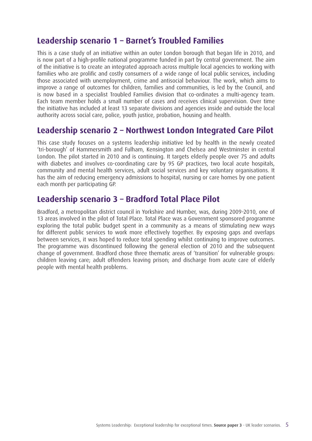### **Leadership scenario 1 – Barnet's Troubled Families**

This is a case study of an initiative within an outer London borough that began life in 2010, and is now part of a high-profile national programme funded in part by central government. The aim of the initiative is to create an integrated approach across multiple local agencies to working with families who are prolific and costly consumers of a wide range of local public services, including those associated with unemployment, crime and antisocial behaviour. The work, which aims to improve a range of outcomes for children, families and communities, is led by the Council, and is now based in a specialist Troubled Families division that co-ordinates a multi-agency team. Each team member holds a small number of cases and receives clinical supervision. Over time the initiative has included at least 13 separate divisions and agencies inside and outside the local authority across social care, police, youth justice, probation, housing and health.

### **Leadership scenario 2 – Northwest London Integrated Care Pilot**

This case study focuses on a systems leadership initiative led by health in the newly created 'tri-borough' of Hammersmith and Fulham, Kensington and Chelsea and Westminster in central London. The pilot started in 2010 and is continuing. It targets elderly people over 75 and adults with diabetes and involves co-coordinating care by 95 GP practices, two local acute hospitals, community and mental health services, adult social services and key voluntary organisations. It has the aim of reducing emergency admissions to hospital, nursing or care homes by one patient each month per participating GP.

### **Leadership scenario 3 – Bradford Total Place Pilot**

Bradford, a metropolitan district council in Yorkshire and Humber, was, during 2009-2010, one of 13 areas involved in the pilot of Total Place. Total Place was a Government sponsored programme exploring the total public budget spent in a community as a means of stimulating new ways for different public services to work more effectively together. By exposing gaps and overlaps between services, it was hoped to reduce total spending whilst continuing to improve outcomes. The programme was discontinued following the general election of 2010 and the subsequent change of government. Bradford chose three thematic areas of 'transition' for vulnerable groups: children leaving care; adult offenders leaving prison; and discharge from acute care of elderly people with mental health problems.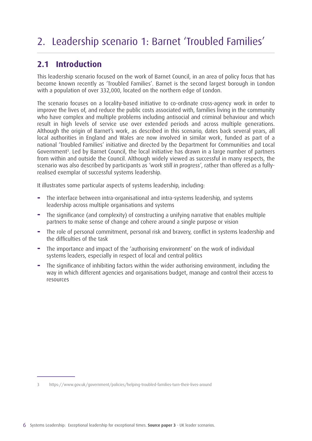# 2. Leadership scenario 1: Barnet 'Troubled Families'

### **2.1 Introduction**

This leadership scenario focused on the work of Barnet Council, in an area of policy focus that has become known recently as 'Troubled Families'. Barnet is the second largest borough in London with a population of over 332,000, located on the northern edge of London.

The scenario focuses on a locality-based initiative to co-ordinate cross-agency work in order to improve the lives of, and reduce the public costs associated with, families living in the community who have complex and multiple problems including antisocial and criminal behaviour and which result in high levels of service use over extended periods and across multiple generations. Although the origin of Barnet's work, as described in this scenario, dates back several years, all local authorities in England and Wales are now involved in similar work, funded as part of a national 'Troubled Families' initiative and directed by the Department for Communities and Local Government<sup>3</sup>. Led by Barnet Council, the local initiative has drawn in a large number of partners from within and outside the Council. Although widely viewed as successful in many respects, the scenario was also described by participants as 'work still in progress', rather than offered as a fullyrealised exemplar of successful systems leadership.

It illustrates some particular aspects of systems leadership, including:

- **−** The interface between intra-organisational and intra-systems leadership, and systems leadership across multiple organisations and systems
- **−** The significance (and complexity) of constructing a unifying narrative that enables multiple partners to make sense of change and cohere around a single purpose or vision
- The role of personal commitment, personal risk and bravery, conflict in systems leadership and the difficulties of the task
- **−** The importance and impact of the 'authorising environment' on the work of individual systems leaders, especially in respect of local and central politics
- **−** The significance of inhibiting factors within the wider authorising environment, including the way in which different agencies and organisations budget, manage and control their access to resources

<sup>3</sup> https://www.gov.uk/government/policies/helping-troubled-families-turn-their-lives-around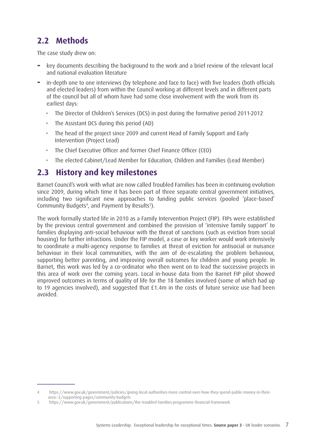### **2.2 Methods**

The case study drew on:

- **−** key documents describing the background to the work and a brief review of the relevant local and national evaluation literature
- **−** in-depth one to one interviews (by telephone and face to face) with five leaders (both officials and elected leaders) from within the Council working at different levels and in different parts of the council but all of whom have had some close involvement with the work from its earliest days:
	- The Director of Children's Services (DCS) in post during the formative period 2011-2012
	- The Assistant DCS during this period (AD)
	- The head of the project since 2009 and current Head of Family Support and Early Intervention (Project Lead)
	- The Chief Executive Officer and former Chief Finance Officer (CEO)
	- The elected Cabinet/Lead Member for Education, Children and Families (Lead Member)

#### **2.3 History and key milestones**

Barnet Council's work with what are now called Troubled Families has been in continuing evolution since 2009, during which time it has been part of three separate central government initiatives, including two significant new approaches to funding public services (pooled 'place-based' Community Budgets<sup>4</sup>, and Payment by Results<sup>5</sup>).

The work formally started life in 2010 as a Family Intervention Project (FIP). FIPs were established by the previous central government and combined the provision of 'intensive family support' to families displaying anti-social behaviour with the threat of sanctions (such as eviction from social housing) for further infractions. Under the FIP model, a case or key worker would work intensively to coordinate a multi-agency response to families at threat of eviction for antisocial or nuisance behaviour in their local communities, with the aim of de-escalating the problem behaviour, supporting better parenting, and improving overall outcomes for children and young people. In Barnet, this work was led by a co-ordinator who then went on to lead the successive projects in this area of work over the coming years. Local in-house data from the Barnet FIP pilot showed improved outcomes in terms of quality of life for the 18 families involved (some of which had up to 19 agencies involved), and suggested that £1.4m in the costs of future service use had been avoided.

<sup>4</sup> https://www.gov.uk/government/policies/giving-local-authorities-more-control-over-how-they-spend-public-money-in-theirarea--2/supporting-pages/community-budgets

<sup>5</sup> https://www.gov.uk/government/publications/the-troubled-families-programme-financial-framework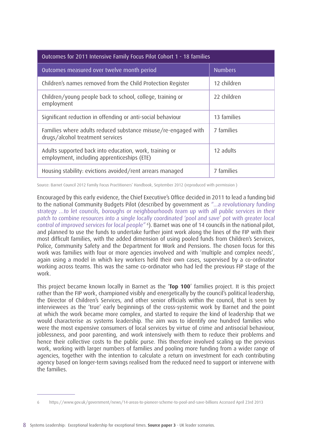| Outcomes for 2011 Intensive Family Focus Pilot Cohort 1 - 18 families                                  |                |  |  |
|--------------------------------------------------------------------------------------------------------|----------------|--|--|
| Outcomes measured over twelve month period                                                             | <b>Numbers</b> |  |  |
| Children's names removed from the Child Protection Register                                            | 12 children    |  |  |
| Children/young people back to school, college, training or<br>employment                               | 22 children    |  |  |
| Significant reduction in offending or anti-social behaviour                                            | 13 families    |  |  |
| Families where adults reduced substance misuse/re-engaged with<br>drugs/alcohol treatment services     | 7 families     |  |  |
| Adults supported back into education, work, training or<br>employment, including apprenticeships (ETE) | 12 adults      |  |  |
| Housing stability: evictions avoided/rent arrears managed                                              | 7 families     |  |  |

Source: Barnet Council 2012 Family Focus Practitioners' Handbook, September 2012 (reproduced with permission )

Encouraged by this early evidence, the Chief Executive's Office decided in 2011 to lead a funding bid to the national Community Budgets Pilot (described by government as "...a revolutionary funding strategy …to let councils, boroughs or neighbourhoods team up with all public services in their patch to combine resources into a single locally coordinated 'pool and save' pot with greater local control of improved services for local people" <sup>6</sup> ). Barnet was one of 14 councils in the national pilot, and planned to use the funds to undertake further joint work along the lines of the FIP with their most difficult families, with the added dimension of using pooled funds from Children's Services, Police, Community Safety and the Department for Work and Pensions. The chosen focus for this work was families with four or more agencies involved and with 'multiple and complex needs', again using a model in which key workers held their own cases, supervised by a co-ordinator working across teams. This was the same co-ordinator who had led the previous FIP stage of the work.

This project became known locally in Barnet as the '**Top 100**' families project. It is this project rather than the FIP work, championed visibly and energetically by the council's political leadership, the Director of Children's Services, and other senior officials within the council, that is seen by interviewees as the 'true' early beginnings of the cross-systemic work by Barnet and the point at which the work became more complex, and started to require the kind of leadership that we would characterise as systems leadership. The aim was to identify one hundred families who were the most expensive consumers of local services by virtue of crime and antisocial behaviour, joblessness, and poor parenting, and work intensively with them to reduce their problems and hence their collective costs to the public purse. This therefore involved scaling up the previous work, working with larger numbers of families and pooling more funding from a wider range of agencies, together with the intention to calculate a return on investment for each contributing agency based on longer-term savings realised from the reduced need to support or intervene with the families.

<sup>6</sup> <https://www.gov.uk/government/news/14-areas-to-pioneer-scheme-to-pool-and-save-billions> Accessed April 23rd 2013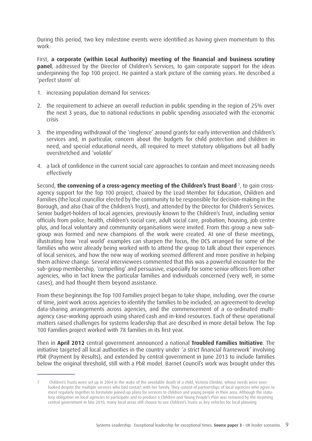During this period, two key milestone events were identified as having given momentum to this work:

First, **a corporate (within Local Authority) meeting of the financial and business scrutiny panel**, addressed by the Director of Children's Services, to gain corporate support for the ideas underpinning the Top 100 project. He painted a stark picture of the coming years. He described a 'perfect storm' of:

- 1. increasing population demand for services:
- 2. the requirement to achieve an overall reduction in public spending in the region of 25% over the next 3 years, due to national reductions in public spending associated with the economic crisis
- 3. the impending withdrawal of the 'ringfence' around grants for early intervention and children's services and, in particular, concern about the budgets for child protection and children in need, and special educational needs, all required to meet statutory obligations but all badly overstretched and 'volatile'
- 4. a lack of confidence in the current social care approaches to contain and meet increasing needs effectively

Second, **the convening of a cross-agency meeting of the Children's Trust Board** <sup>7</sup> , to gain crossagency support for the Top 100 project, chaired by the Lead Member for Education, Children and Families (the local councillor elected by the community to be responsible for decision-making in the Borough, and also Chair of the Children's Trust), and attended by the Director for Children's Services. Senior budget-holders of local agencies, previously known to the Children's Trust, including senior officials from police, health, children's social care, adult social care, probation, housing, job centre plus, and local voluntary and community organisations were invited. From this group a new subgroup was formed and new champions of the work were created. At one of these meetings, illustrating how 'real world' examples can sharpen the focus, the DCS arranged for some of the families who were already being worked with to attend the group to talk about their experiences of local services, and how the new way of working seemed different and more positive in helping them achieve change. Several interviewees commented that this was a powerful encounter for the sub-group membership, 'compelling' and persuasive, especially for some senior officers from other agencies, who in fact knew the particular families and individuals concerned (very well, in some cases), and had thought them beyond assistance.

From these beginnings the Top 100 Families project began to take shape, including, over the course of time, joint work across agencies to identify the families to be included, an agreement to develop data-sharing arrangements across agencies, and the commencement of a co-ordinated multiagency case-working approach using shared cash and in-kind resources. Each of these operational matters raised challenges for systems leadership that are described in more detail below. The Top 100 Families project worked with 78 families in its first year.

Then in **April 2012** central government announced a national **Troubled Families Initiative**. The initiative targeted all local authorities in the country under 'a strict financial framework' involving PbR (Payment by Results), and extended by central government in June 2013 to include families below the original threshold, still with a PbR model. Barnet Council's work was brought under this

<sup>7</sup> Children's Trusts were set up in 2004 in the wake of the avoidable death of a child, Victoria Climbie, whose needs were overlooked despite the multiple services who had contact with her family. They consist of partnerships of local agencies who agree to meet regularly together to formulate joined-up plans for services to children and young people in their area. Although the statutory obligation on local agencies to participate and to produce a Children and Young People's Plan was removed by the incoming central government in late 2010, many local areas still choose to use Children's Trusts as key vehicles for local planning.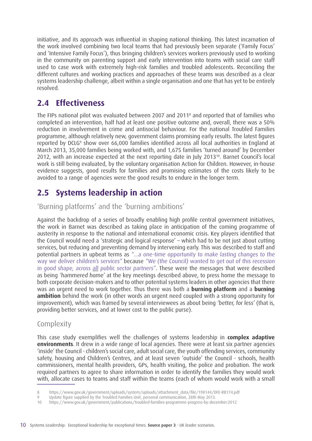initiative, and its approach was influential in shaping national thinking. This latest incarnation of the work involved combining two local teams that had previously been separate ('Family Focus' and 'Intensive Family Focus'), thus bringing children's services workers previously used to working in the community on parenting support and early intervention into teams with social care staff used to case work with extremely high-risk families and troubled adolescents. Reconciling the different cultures and working practices and approaches of these teams was described as a clear systems leadership challenge, albeit within a single organisation and one that has yet to be entirely resolved.

### **2.4 Effectiveness**

The FIPs national pilot was evaluated between 2007 and 20118 and reported that of families who completed an intervention, half had at least one positive outcome and, overall, there was a 50% reduction in involvement in crime and antisocial behaviour. For the national Troubled Families programme, although relatively new, government claims promising early results. The latest figures reported by DCLG<sup>9</sup> show over 66,000 families identified across all local authorities in England at March 2013, 35,000 families being worked with, and 1,675 families 'turned around' by December 2012, with an increase expected at the next reporting date in July 2013<sup>10</sup>. Barnet Council's local work is still being evaluated, by the voluntary organisation Action for Children. However, in-house evidence suggests, good results for families and promising estimates of the costs likely to be avoided to a range of agencies were the good results to endure in the longer term.

### **2.5 Systems leadership in action**

'Burning platforms' and the 'burning ambitions'

Against the backdrop of a series of broadly enabling high profile central government initiatives, the work in Barnet was described as taking place in anticipation of the coming programme of austerity in response to the national and international economic crisis. Key players identified that the Council would need a 'strategic and logical response' – which had to be not just about cutting services, but reducing and preventing demand by intervening early. This was described to staff and potential partners in upbeat terms as "...a one-time opportunity to make lasting changes to the way we deliver children's services" because "We (the Council) wanted to get out of this recession in good shape, across all public sector partners". These were the messages that were described as being 'hammered home' at the key meetings described above, to press home the message to both corporate decision-makers and to other potential systems leaders in other agencies that there was an urgent need to work together. Thus there was both a **burning platform** and a **burning ambition** behind the work (in other words an urgent need coupled with a strong opportunity for improvement), which was framed by several interviewees as about being 'better, for less' (that is, providing better services, and at lower cost to the public purse).

#### **Complexity**

This case study exemplifies well the challenges of systems leadership in **complex adaptive environments**. It drew in a wide range of local agencies. There were at least six partner agencies 'inside' the Council - children's social care, adult social care, the youth offending services, community safety, housing and Children's Centres, and at least seven 'outside' the Council - schools, health commissioners, mental health providers, GPs, health visiting, the police and probation. The work required partners to agree to share information in order to identify the families they would work with, allocate cases to teams and staff within the teams (each of whom would work with a small

<sup>8</sup> https://www.gov.uk/government/uploads/system/uploads/attachment\_data/file/198144/DFE-RB174.pdf

<sup>9</sup> Update figure supplied by the Troubled Families Unit, personal communication, 28th May 2013.

<sup>10</sup> https://www.gov.uk/government/publications/troubled-families-programme-progress-by-december-2012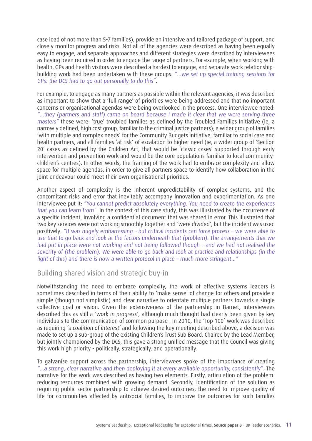case load of not more than 5-7 families), provide an intensive and tailored package of support, and closely monitor progress and risks. Not all of the agencies were described as having been equally easy to engage, and separate approaches and different strategies were described by interviewees as having been required in order to engage the range of partners. For example, when working with health, GPs and health visitors were described a hardest to engage, and separate work relationshipbuilding work had been undertaken with these groups: "...we set up special training sessions for GPs: the DCS had to go out personally to do this".

For example, to engage as many partners as possible within the relevant agencies, it was described as important to show that a 'full range' of priorities were being addressed and that no important concerns or organisational agendas were being overlooked in the process. One interviewee noted: "...they (partners and staff) came on board because I made it clear that we were serving three masters" these were: 'true' troubled families as defined by the Troubled Families Initiative (ie, a narrowly defined, high cost group, familiar to the criminal justice partners); a wider group of families 'with multiple and complex needs' for the Community Budgets initiative, familiar to social care and health partners; and all families 'at risk' of escalation to higher need (ie, a wider group of 'Section 20' cases as defined by the Children Act, that would be 'classic cases' supported through early intervention and prevention work and would be the core populations familiar to local communitychildren's centres). In other words, the framing of the work had to embrace complexity and allow space for multiple agendas, in order to give all partners space to identify how collaboration in the joint endeavour could meet their own organisational priorities.

Another aspect of complexity is the inherent unpredictability of complex systems, and the concomitant risks and error that inevitably accompany innovation and experimentation. As one interviewee put it: "You cannot predict absolutely everything. You need to create the experiences that you can learn from". In the context of this case study, this was illustrated by the occurrence of a specific incident, involving a confidential document that was shared in error. This illustrated that two key services were not working smoothly together and 'were divided', but the incident was used positively: "It was hugely embarrassing – but critical incidents can force process – we were able to use that to go back and look at the factors underneath that (problem). The arrangements that we had put in place were not working and not being followed though – and we had not realised the severity of (the problem). We were able to go back and look at practice and relationships (in the light of this) and there is now a written protocol in place – much more stringent..."

Building shared vision and strategic buy-in

Notwithstanding the need to embrace complexity, the work of effective systems leaders is sometimes described in terms of their ability to 'make sense' of change for others and provide a simple (though not simplistic) and clear narrative to orientate multiple partners towards a single collective goal or vision. Given the extensiveness of the partnership in Barnet, interviewees described this as still a 'work in progress', although much thought had clearly been given by key individuals to the communication of common purpose . In 2010, the 'Top 100' work was described as requiring 'a coalition of interest' and following the key meeting described above, a decision was made to set up a sub-group of the existing Children's Trust Sub Board. Chaired by the Lead Member, but jointly championed by the DCS, this gave a strong unified message that the Council was giving this work high priority - politically, strategically, and operationally.

To galvanise support across the partnership, interviewees spoke of the importance of creating "...a strong, clear narrative and then deploying it at every available opportunity, consistently". The narrative for the work was described as having two elements. Firstly, articulation of the problem: reducing resources combined with growing demand. Secondly, identification of the solution as requiring public sector partnership to achieve desired outcomes: the need to improve quality of life for communities affected by antisocial families; to improve the outcomes for such families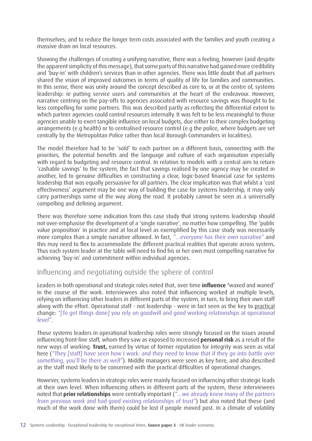themselves; and to reduce the longer term costs associated with the families and youth creating a massive drain on local resources.

Showing the challenges of creating a unifying narrative, there was a feeling, however (and despite the apparent simplicity of this message), that some parts of this narrative had gained more credibility and 'buy-in' with children's services than in other agencies. There was little doubt that all partners shared the vision of improved outcomes in terms of quality of life for families and communities. In this sense, there was unity around the concept described as core to, or at the centre of, systems leadership: ie putting service users and communities at the heart of the endeavour. However, narrative centring on the pay-offs to agencies associated with resource savings was thought to be less compelling for some partners. This was described partly as reflecting the differential extent to which partner agencies could control resources internally. It was felt to be less meaningful to those agencies unable to exert tangible influence on local budgets, due either to their complex budgeting arrangements (e.g health) or to centralised resource control (e.g the police, where budgets are set centrally by the Metropolitan Police rather than local Borough Commanders in localities).

The model therefore had to be 'sold' to each partner on a different basis, connecting with the priorities, the potential benefits and the language and culture of each organisation especially with regard to budgeting and resource control. In relation to models with a central aim to return 'cashable savings' to the system, the fact that savings realised by one agency may be created in another, led to genuine difficulties in constructing a clear, logic-based financial case for systems leadership that was equally persuasive for all partners. The clear implication was that whilst a 'cost effectiveness' argument may be one way of building the case for systems leadership, it may only carry partnerships some of the way along the road. It probably cannot be seen as a universally compelling and defining argument.

There was therefore some indication from this case study that strong systems leadership should not over-emphasise the development of a 'single narrative', no matter how compelling. The 'public value proposition' in practice and at local level as exemplified by this case study was necessarily more complex than a simple narrative allowed. In fact, "...everyone has their own narrative" and this may need to flex to accommodate the different practical realities that operate across system**.** Thus each system leader at the table will need to find his or her own most compelling narrative for achieving 'buy-in' and commitment within individual agencies.

#### Influencing and negotiating outside the sphere of control

Leaders in both operational and strategic roles noted that, over time **influence '**waxed and waned' in the course of the work. Interviewees also noted that influencing worked at multiple levels, relying on influencing other leaders in different parts of the system, in turn, to bring their own staff along with the effort. Operational staff - not leadership - were in fact seen as the key to practical change: "[To get things done] you rely on goodwill and good working relationships at operational level".

Those systems leaders in operational leadership roles were strongly focused on the issues around influencing front-line staff, whom they saw as exposed to increased **personal risk** as a result of the new ways of working. **Trust,** earned by virtue of former reputation for integrity was seen as vital here ("They [staff] have seen how I work: and they need to know that if they go into battle over something, you'll be there as well"). Middle managers were seen as key here, and also described as the staff most likely to be concerned with the practical difficulties of operational changes.

However, systems leaders in strategic roles were mainly focused on influencing other strategic leads at their own level. When influencing others in different parts of the system, these interviewees noted that **prior relationships** were centrally important ("...we already knew many of the partners from previous work and had good existing relationships of trust") but also noted that these (and much of the work done with them) could be lost if people moved post. In a climate of volatility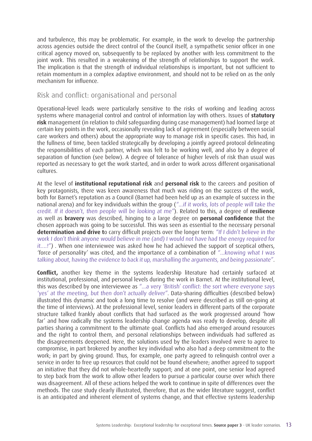and turbulence, this may be problematic. For example, in the work to develop the partnership across agencies outside the direct control of the Council itself, a sympathetic senior officer in one critical agency moved on, subsequently to be replaced by another with less commitment to the joint work. This resulted in a weakening of the strength of relationships to support the work. The implication is that the strength of individual relationships is important, but not sufficient to retain momentum in a complex adaptive environment, and should not to be relied on as the only mechanism for influence.

#### Risk and conflict: organisational and personal

Operational-level leads were particularly sensitive to the risks of working and leading across systems where managerial control and control of information lay with others. Issues of **statutory risk** management (in relation to child safeguarding during case management) had loomed large at certain key points in the work, occasionally revealing lack of agreement (especially between social care workers and others) about the appropriate way to manage risk in specific cases. This had, in the fullness of time, been tackled strategically by developing a jointly agreed protocol delineating the responsibilities of each partner, which was felt to be working well, and also by a degree of separation of function (see below). A degree of tolerance of higher levels of risk than usual was reported as necessary to get the work started, and in order to work across different organisational cultures.

At the level of **institutional reputational risk** and **personal risk** to the careers and position of key protagonists, there was keen awareness that much was riding on the success of the work, both for Barnet's reputation as a Council (Barnet had been held up as an example of success in the national arena) and for key individuals within the group ("...if it works, lots of people will take the credit. If it doesn't, then people will be looking at me"). Related to this, a degree of **resilience** as well as **bravery** was described, hinging to a large degree on **personal confidence** that the chosen approach was going to be successful. This was seen as essential to the necessary personal **determination and drive t**o carry difficult projects over the longer term: "If I didn't believe in the work I don't think anyone would believe in me (and) I would not have had the energy required for it….!") . When one interviewee was asked how he had achieved the support of sceptical others, 'force of personality' was cited, and the importance of a combination of "...knowing what I was talking about, having the evidence to back it up, marshalling the arguments, and being passionate".

**Conflict,** another key theme in the systems leadership literature had certainly surfaced at institutional, professional, and personal levels during the work in Barnet. At the institutional level, this was described by one interviewee as "...a very 'British' conflict: the sort where everyone says 'yes' at the meeting, but then don't actually deliver". Data-sharing difficulties (described below) illustrated this dynamic and took a long time to resolve (and were described as still on-going at the time of interviews). At the professional level, senior leaders in different parts of the corporate structure talked frankly about conflicts that had surfaced as the work progressed around 'how far' and how radically the systems leadership change agenda was ready to develop, despite all parties sharing a commitment to the ultimate goal. Conflicts had also emerged around resources and the right to control them, and personal relationships between individuals had suffered as the disagreements deepened. Here, the solutions used by the leaders involved were to agree to compromise, in part brokered by another key individual who also had a deep commitment to the work; in part by giving ground. Thus, for example, one party agreed to relinquish control over a service in order to free up resources that could not be found elsewhere; another agreed to support an initiative that they did not whole-heartedly support; and at one point, one senior lead agreed to step back from the work to allow other leaders to pursue a particular course over which there was disagreement. All of these actions helped the work to continue in spite of differences over the methods. The case study clearly illustrated, therefore, that as the wider literature suggest, conflict is an anticipated and inherent element of systems change, and that effective systems leadership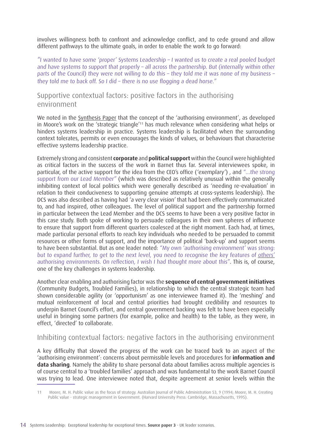involves willingness both to confront and acknowledge conflict, and to cede ground and allow different pathways to the ultimate goals, in order to enable the work to go forward:

"I wanted to have some 'proper' Systems Leadership – I wanted us to create a real pooled budget and have systems to support that properly – all across the partnership. But (internally within other parts of the Council) they were not willing to do this – they told me it was none of my business – they told me to back off. So I did – there is no use flogging a dead horse."

Supportive contextual factors: positive factors in the authorising environment

We noted in the [Synthesis Paper](http://www.virtualstaffcollege.co.uk/wp-content/uploads/VSC_Synthesis_complete.pdf) that the concept of the 'authorising environment', as developed in Moore's work on the 'strategic triangle'11 has much relevance when considering what helps or hinders systems leadership in practice. Systems leadership is facilitated when the surrounding context tolerates, permits or even encourages the kinds of values, or behaviours that characterise effective systems leadership practice.

Extremely strong and consistent **corporate** and **political support** within the Council were highlighted as critical factors in the success of the work in Barnet thus far. Several interviewees spoke, in particular, of the active support for the idea from the CEO's office ('exemplary') , and "...the strong support from our Lead Member" (which was described as relatively unusual within the generally inhibiting context of local politics which were generally described as 'needing re-evaluation' in relation to their conduciveness to supporting genuine attempts at cross-systems leadership). The DCS was also described as having had 'a very clear vision' that had been effectively communicated to, and had inspired, other colleagues. The level of political support and the partnership formed in particular between the Lead Member and the DCS seems to have been a very positive factor in this case study. Both spoke of working to persuade colleagues in their own spheres of influence to ensure that support from different quarters coalesced at the right moment. Each had, at times, made particular personal efforts to reach key individuals who needed to be persuaded to commit resources or other forms of support, and the importance of political 'back-up' and support seems to have been substantial. But as one leader noted: "My own 'authorising environment' was strong: but to expand further, to get to the next level, you need to recognise the key features of others' authorising environments. On reflection, I wish I had thought more about this". This is, of course, one of the key challenges in systems leadership.

Another clear enabling and authorising factor was the **sequence of central government initiatives** (Community Budgets, Troubled Families), in relationship to which the central strategic team had shown considerable agility (or 'opportunism' as one interviewee framed it). The 'meshing' and mutual reinforcement of local and central priorities had brought credibility and resources to underpin Barnet Council's effort, and central government backing was felt to have been especially useful in bringing some partners (for example, police and health) to the table, as they were, in effect, 'directed' to collaborate.

#### Inhibiting contextual factors: negative factors in the authorising environment

A key difficulty that slowed the progress of the work can be traced back to an aspect of the 'authorising environment': concerns about permissible levels and procedures for **information and data sharing**. Namely the ability to share personal data about families across multiple agencies is of course central to a 'troubled families' approach and was fundamental to the work Barnet Council was trying to lead. One interviewee noted that, despite agreement at senior levels within the

<sup>11</sup> Moore, M. H. Public value as the focus of strategy. Australian Journal of Public Administration 53, 9 (1994; Moore, M. H. Creating Public value - strategic management in Government. (Harvard University Press: Cambridge, Massachusetts, 1995).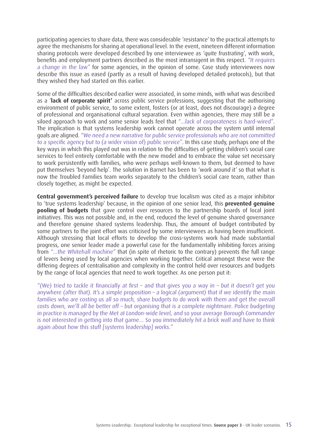participating agencies to share data, there was considerable 'resistance' to the practical attempts to agree the mechanisms for sharing at operational level. In the event, nineteen different information sharing protocols were developed described by one interviewee as 'quite frustrating', with work, benefits and employment partners described as the most intransigent in this respect. "It requires a change in the law" for some agencies, in the opinion of some. Case study interviewees now describe this issue as eased (partly as a result of having developed detailed protocols), but that they wished they had started on this earlier.

Some of the difficulties described earlier were associated, in some minds, with what was described as a '**lack of corporate spirit'** across public service professions, suggesting that the authorising environment of public service, to some extent, fosters (or at least, does not discourage) a degree of professional and organisational cultural separation. Even within agencies, there may still be a siloed approach to work and some senior leads feel that "...lack of corporateness is hard-wired". The implication is that systems leadership work cannot operate across the system until internal goals are aligned. "We need a new narrative for public service professionals who are not committed to a specific agency but to (a wider vision of) public service". In this case study, perhaps one of the key ways in which this played out was in relation to the difficulties of getting children's social care services to feel entirely comfortable with the new model and to embrace the value set necessary to work persistently with families, who were perhaps well-known to them, but deemed to have put themselves 'beyond help'. The solution in Barnet has been to 'work around it' so that what is now the Troubled Families team works separately to the children's social care team, rather than closely together, as might be expected.

**Central government's perceived failure** to develop true localism was cited as a major inhibitor to 'true systems leadership' because, in the opinion of one senior lead, this **prevented genuine pooling of budgets** that gave control over resources to the partnership boards of local joint initiatives. This was not possible and, in the end, reduced the level of genuine shared governance and therefore genuine shared systems leadership. Thus, the amount of budget contributed by some partners to the joint effort was criticised by some interviewees as having been insufficient. Although stressing that local efforts to develop the cross-systems work had made substantial progress, one senior leader made a powerful case for the fundamentally inhibiting forces arising from "...the Whitehall machine" that (in spite of rhetoric to the contrary) prevents the full range of levers being used by local agencies when working together. Critical amongst these were the differing degrees of centralisation and complexity in the control held over resources and budgets by the range of local agencies that need to work together. As one person put it:

"(We) tried to tackle it financially at first – and that gives you a way in – but it doesn't get you anywhere (after that). It's a simple proposition – a logical (argument) that if we identify the main families who are costing us all so much, share budgets to do work with them and get the overall costs down, we'll all be better off – but organising that is a complete nightmare. Police budgeting in practice is managed by the Met at London-wide level, and so your average Borough Commander is not interested in getting into that game… So you immediately hit a brick wall and have to think again about how this stuff [systems leadership] works."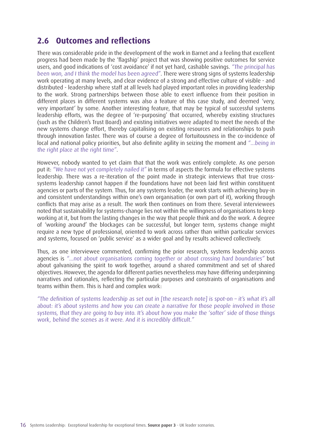### **2.6 Outcomes and reflections**

There was considerable pride in the development of the work in Barnet and a feeling that excellent progress had been made by the 'flagship' project that was showing positive outcomes for service users, and good indications of 'cost avoidance' if not yet hard, cashable savings. "The principal has been won, and I think the model has been agreed". There were strong signs of systems leadership work operating at many levels, and clear evidence of a strong and effective culture of visible - and distributed - leadership where staff at all levels had played important roles in providing leadership to the work. Strong partnerships between those able to exert influence from their position in different places in different systems was also a feature of this case study, and deemed 'very, very important' by some. Another interesting feature, that may be typical of successful systems leadership efforts, was the degree of 're-purposing' that occurred, whereby existing structures (such as the Children's Trust Board) and existing initiatives were adapted to meet the needs of the new systems change effort, thereby capitalising on existing resources and relationships to push through innovation faster. There was of course a degree of fortuitousness in the co-incidence of local and national policy priorities, but also definite agility in seizing the moment and "...being in the right place at the right time".

However, nobody wanted to yet claim that that the work was entirely complete. As one person put it: "We have not yet completely nailed it" in terms of aspects the formula for effective systems leadership. There was a re-iteration of the point made in strategic interviews that true crosssystems leadership cannot happen if the foundations have not been laid first within constituent agencies or parts of the system. Thus, for any systems leader, the work starts with achieving buy-in and consistent understandings within one's own organisation (or own part of it), working through conflicts that may arise as a result. The work then continues on from there. Several interviewees noted that sustainability for systems-change lies not within the willingness of organisations to keep working at it, but from the lasting changes in the way that people think and do the work. A degree of 'working around' the blockages can be successful, but longer term, systems change might require a new type of professional, oriented to work across rather than within particular services and systems, focused on 'public service' as a wider goal and by results achieved collectively.

Thus, as one interviewee commented, confirming the prior research, systems leadership across agencies is "...not about organisations coming together or about crossing hard boundaries" but about galvanising the spirit to work together, around a shared commitment and set of shared objectives. However, the agenda for different parties nevertheless may have differing underpinning narratives and rationales, reflecting the particular purposes and constraints of organisations and teams within them. This is hard and complex work:

"The definition of systems leadership as set out in [the research note] is spot-on – it's what it's all about: it's about systems and how you can create a narrative for those people involved in those systems, that they are going to buy into. It's about how you make the 'softer' side of those things work, behind the scenes as it were. And it is incredibly difficult."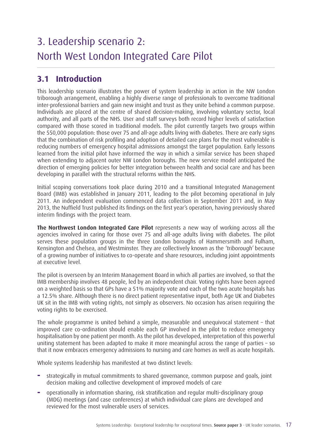# 3. Leadership scenario 2: North West London Integrated Care Pilot

### **3.1 Introduction**

This leadership scenario illustrates the power of system leadership in action in the NW London triborough arrangement, enabling a highly diverse range of professionals to overcome traditional inter-professional barriers and gain new insight and trust as they unite behind a common purpose. Individuals are placed at the centre of shared decision-making, involving voluntary sector, local authority, and all parts of the NHS. User and staff surveys both record higher levels of satisfaction compared with those scored in traditional models. The pilot currently targets two groups within the 550,000 population: those over 75 and all-age adults living with diabetes. There are early signs that the combination of risk profiling and adoption of detailed care plans for the most vulnerable is reducing numbers of emergency hospital admissions amongst the target population. Early lessons learned from the initial pilot have informed the way in which a similar service has been shaped when extending to adjacent outer NW London boroughs. The new service model anticipated the direction of emerging policies for better integration between health and social care and has been developing in parallel with the structural reforms within the NHS.

Initial scoping conversations took place during 2010 and a transitional Integrated Management Board (IMB) was established in January 2011, leading to the pilot becoming operational in July 2011. An independent evaluation commenced data collection in September 2011 and, in May 2013, the Nuffield Trust published its findings on the first year's operation, having previously shared interim findings with the project team.

**The Northwest London Integrated Care Pilot** represents a new way of working across all the agencies involved in caring for those over 75 and all-age adults living with diabetes. The pilot serves these population groups in the three London boroughs of Hammersmith and Fulham, Kensington and Chelsea, and Westminster. They are collectively known as the 'triborough' because of a growing number of initiatives to co-operate and share resources, including joint appointments at executive level.

The pilot is overseen by an Interim Management Board in which all parties are involved, so that the IMB membership involves 48 people, led by an independent chair. Voting rights have been agreed on a weighted basis so that GPs have a 51% majority vote and each of the two acute hospitals has a 12.5% share. Although there is no direct patient representative input, both Age UK and Diabetes UK sit in the IMB with voting rights, not simply as observers. No occasion has arisen requiring the voting rights to be exercised.

The whole programme is united behind a simple, measurable and unequivocal statement – that improved care co-ordination should enable each GP involved in the pilot to reduce emergency hospitalisation by one patient per month. As the pilot has developed, interpretation of this powerful uniting statement has been adapted to make it more meaningful across the range of parties – so that it now embraces emergency admissions to nursing and care homes as well as acute hospitals.

Whole systems leadership has manifested at two distinct levels:

- **−** strategically in mutual commitments to shared governance, common purpose and goals, joint decision making and collective development of improved models of care
- **−** operationally in information sharing, risk stratification and regular multi-disciplinary group (MDG) meetings (and case conferences) at which individual care plans are developed and reviewed for the most vulnerable users of services.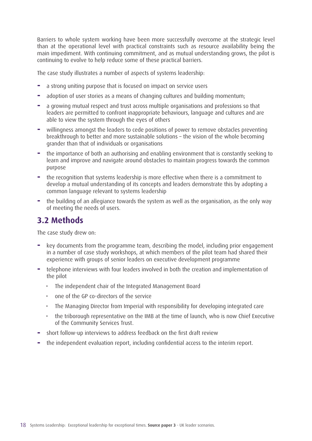Barriers to whole system working have been more successfully overcome at the strategic level than at the operational level with practical constraints such as resource availability being the main impediment. With continuing commitment, and as mutual understanding grows, the pilot is continuing to evolve to help reduce some of these practical barriers.

The case study illustrates a number of aspects of systems leadership:

- **−** a strong uniting purpose that is focused on impact on service users
- **−** adoption of user stories as a means of changing cultures and building momentum;
- **−** a growing mutual respect and trust across multiple organisations and professions so that leaders are permitted to confront inappropriate behaviours, language and cultures and are able to view the system through the eyes of others
- **−** willingness amongst the leaders to cede positions of power to remove obstacles preventing breakthrough to better and more sustainable solutions – the vision of the whole becoming grander than that of individuals or organisations
- **−** the importance of both an authorising and enabling environment that is constantly seeking to learn and improve and navigate around obstacles to maintain progress towards the common purpose
- **−** the recognition that systems leadership is more effective when there is a commitment to develop a mutual understanding of its concepts and leaders demonstrate this by adopting a common language relevant to systems leadership
- **−** the building of an allegiance towards the system as well as the organisation, as the only way of meeting the needs of users.

### **3.2 Methods**

The case study drew on:

- **−** key documents from the programme team, describing the model, including prior engagement in a number of case study workshops, at which members of the pilot team had shared their experience with groups of senior leaders on executive development programme
- **−** telephone interviews with four leaders involved in both the creation and implementation of the pilot
	- The independent chair of the Integrated Management Board
	- one of the GP co-directors of the service
	- The Managing Director from Imperial with responsibility for developing integrated care
	- the triborough representative on the IMB at the time of launch, who is now Chief Executive of the Community Services Trust.
- **−** short follow-up interviews to address feedback on the first draft review
- **−** the independent evaluation report, including confidential access to the interim report.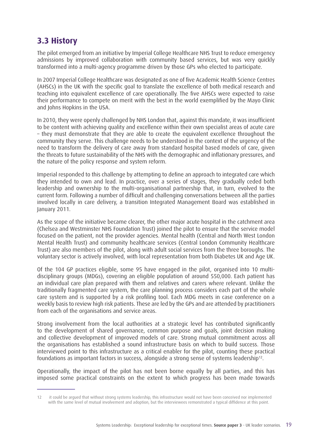### **3.3 History**

The pilot emerged from an initiative by Imperial College Healthcare NHS Trust to reduce emergency admissions by improved collaboration with community based services, but was very quickly transformed into a multi-agency programme driven by those GPs who elected to participate.

In 2007 Imperial College Healthcare was designated as one of five Academic Health Science Centres (AHSCs) in the UK with the specific goal to translate the excellence of both medical research and teaching into equivalent excellence of care operationally. The five AHSCs were expected to raise their performance to compete on merit with the best in the world exemplified by the Mayo Clinic and Johns Hopkins in the USA.

In 2010, they were openly challenged by NHS London that, against this mandate, it was insufficient to be content with achieving quality and excellence within their own specialist areas of acute care – they must demonstrate that they are able to create the equivalent excellence throughout the community they serve. This challenge needs to be understood in the context of the urgency of the need to transform the delivery of care away from standard hospital based models of care, given the threats to future sustainability of the NHS with the demographic and inflationary pressures, and the nature of the policy response and system reform.

Imperial responded to this challenge by attempting to define an approach to integrated care which they intended to own and lead. In practice, over a series of stages, they gradually ceded both leadership and ownership to the multi-organisational partnership that, in turn, evolved to the current form. Following a number of difficult and challenging conversations between all the parties involved locally in care delivery, a transition Integrated Management Board was established in January 2011.

As the scope of the initiative became clearer, the other major acute hospital in the catchment area (Chelsea and Westminster NHS Foundation Trust) joined the pilot to ensure that the service model focused on the patient, not the provider agencies. Mental health (Central and North West London Mental Health Trust) and community healthcare services (Central London Community Healthcare Trust) are also members of the pilot, along with adult social services from the three boroughs. The voluntary sector is actively involved, with local representation from both Diabetes UK and Age UK.

Of the 104 GP practices eligible, some 95 have engaged in the pilot, organised into 10 multidisciplinary groups (MDGs), covering an eligible population of around 550,000. Each patient has an individual care plan prepared with them and relatives and carers where relevant. Unlike the traditionally fragmented care system, the care planning process considers each part of the whole care system and is supported by a risk profiling tool. Each MDG meets in case conference on a weekly basis to review high risk patients. These are led by the GPs and are attended by practitioners from each of the organisations and service areas.

Strong involvement from the local authorities at a strategic level has contributed significantly to the development of shared governance, common purpose and goals, joint decision making and collective development of improved models of care. Strong mutual commitment across all the organisations has established a sound infrastructure basis on which to build success. Those interviewed point to this infrastructure as a critical enabler for the pilot, counting these practical foundations as important factors in success, alongside a strong sense of systems leadership12.

Operationally, the impact of the pilot has not been borne equally by all parties, and this has imposed some practical constraints on the extent to which progress has been made towards

<sup>12</sup> it could be argued that without strong systems leadership, this infrastructure would not have been conceived nor implemented with the same level of mutual involvement and adoption, but the interviewees remonstrated a typical diffidence at this point.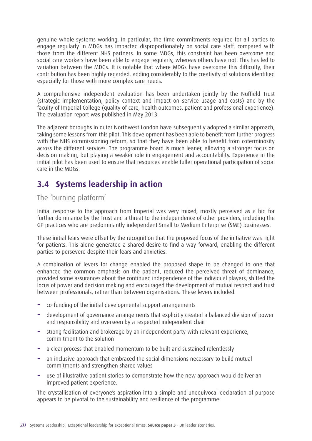genuine whole systems working. In particular, the time commitments required for all parties to engage regularly in MDGs has impacted disproportionately on social care staff, compared with those from the different NHS partners. In some MDGs, this constraint has been overcome and social care workers have been able to engage regularly, whereas others have not. This has led to variation between the MDGs. It is notable that where MDGs have overcome this difficulty, their contribution has been highly regarded, adding considerably to the creativity of solutions identified especially for those with more complex care needs.

A comprehensive independent evaluation has been undertaken jointly by the Nuffield Trust (strategic implementation, policy context and impact on service usage and costs) and by the faculty of Imperial College (quality of care, health outcomes, patient and professional experience). The evaluation report was published in May 2013.

The adjacent boroughs in outer Northwest London have subsequently adopted a similar approach, taking some lessons from this pilot. This development has been able to benefit from further progress with the NHS commissioning reform, so that they have been able to benefit from coterminosity across the different services. The programme board is much leaner, allowing a stronger focus on decision making, but playing a weaker role in engagement and accountability. Experience in the initial pilot has been used to ensure that resources enable fuller operational participation of social care in the MDGs.

### **3.4 Systems leadership in action**

#### The 'burning platform'

Initial response to the approach from Imperial was very mixed, mostly perceived as a bid for further dominance by the Trust and a threat to the independence of other providers, including the GP practices who are predominantly independent Small to Medium Enterprise (SME) businesses.

These initial fears were offset by the recognition that the proposed focus of the initiative was right for patients. This alone generated a shared desire to find a way forward, enabling the different parties to persevere despite their fears and anxieties.

A combination of levers for change enabled the proposed shape to be changed to one that enhanced the common emphasis on the patient, reduced the perceived threat of dominance, provided some assurances about the continued independence of the individual players, shifted the locus of power and decision making and encouraged the development of mutual respect and trust between professionals, rather than between organisations. These levers included:

- **−** co-funding of the initial developmental support arrangements
- **−** development of governance arrangements that explicitly created a balanced division of power and responsibility and overseen by a respected independent chair
- **−** strong facilitation and brokerage by an independent party with relevant experience, commitment to the solution
- **−** a clear process that enabled momentum to be built and sustained relentlessly
- **−** an inclusive approach that embraced the social dimensions necessary to build mutual commitments and strengthen shared values
- **−** use of illustrative patient stories to demonstrate how the new approach would deliver an improved patient experience.

The crystallisation of everyone's aspiration into a simple and unequivocal declaration of purpose appears to be pivotal to the sustainability and resilience of the programme: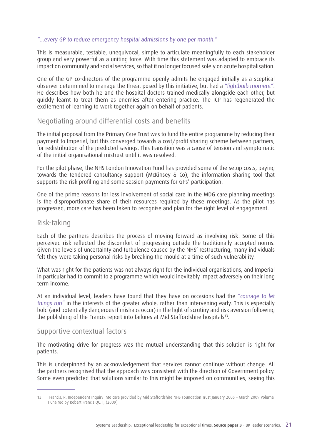#### "...every GP to reduce emergency hospital admissions by one per month."

This is measurable, testable, unequivocal, simple to articulate meaningfully to each stakeholder group and very powerful as a uniting force. With time this statement was adapted to embrace its impact on community and social services, so that it no longer focused solely on acute hospitalisation.

One of the GP co-directors of the programme openly admits he engaged initially as a sceptical observer determined to manage the threat posed by this initiative, but had a "lightbulb moment". He describes how both he and the hospital doctors trained medically alongside each other, but quickly learnt to treat them as enemies after entering practice. The ICP has regenerated the excitement of learning to work together again on behalf of patients.

#### Negotiating around differential costs and benefits

The initial proposal from the Primary Care Trust was to fund the entire programme by reducing their payment to Imperial, but this converged towards a cost/profit sharing scheme between partners, for redistribution of the predicted savings. This transition was a cause of tension and symptomatic of the initial organisational mistrust until it was resolved.

For the pilot phase, the NHS London Innovation Fund has provided some of the setup costs, paying towards the tendered consultancy support (McKinsey & Co), the information sharing tool that supports the risk profiling and some session payments for GPs' participation.

One of the prime reasons for less involvement of social care in the MDG care planning meetings is the disproportionate share of their resources required by these meetings. As the pilot has progressed, more care has been taken to recognise and plan for the right level of engagement.

#### Risk-taking

Each of the partners describes the process of moving forward as involving risk. Some of this perceived risk reflected the discomfort of progressing outside the traditionally accepted norms. Given the levels of uncertainty and turbulence caused by the NHS' restructuring, many individuals felt they were taking personal risks by breaking the mould at a time of such vulnerability.

What was right for the patients was not always right for the individual organisations, and Imperial in particular had to commit to a programme which would inevitably impact adversely on their long term income.

At an individual level, leaders have found that they have on occasions had the "courage to let things run" in the interests of the greater whole, rather than intervening early. This is especially bold (and potentially dangerous if mishaps occur) in the light of scrutiny and risk aversion following the publishing of the Francis report into failures at Mid Staffordshire hospitals13.

#### Supportive contextual factors

The motivating drive for progress was the mutual understanding that this solution is right for patients.

This is underpinned by an acknowledgement that services cannot continue without change. All the partners recognised that the approach was consistent with the direction of Government policy. Some even predicted that solutions similar to this might be imposed on communities, seeing this

<sup>13</sup> Francis, R. Independent Inquiry into care provided by Mid Staffordshire NHS Foundation Trust January 2005 – March 2009 Volume I Chaired by Robert Francis QC. I, (2009)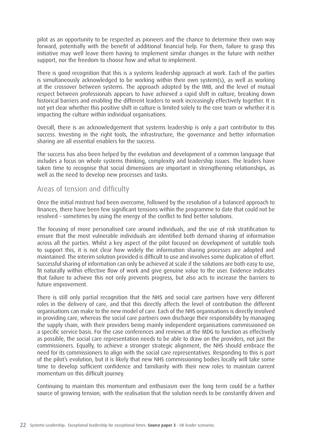pilot as an opportunity to be respected as pioneers and the chance to determine their own way forward, potentially with the benefit of additional financial help. For them, failure to grasp this initiative may well leave them having to implement similar changes in the future with neither support, nor the freedom to choose how and what to implement.

There is good recognition that this is a systems leadership approach at work. Each of the parties is simultaneously acknowledged to be working within their own system(s), as well as working at the crossover between systems. The approach adopted by the IMB, and the level of mutual respect between professionals appears to have achieved a rapid shift in culture, breaking down historical barriers and enabling the different leaders to work increasingly effectively together. It is not yet clear whether this positive shift in culture is limited solely to the core team or whether it is impacting the culture within individual organisations.

Overall, there is an acknowledgement that systems leadership is only a part contributor to this success. Investing in the right tools, the infrastructure, the governance and better information sharing are all essential enablers for the success.

The success has also been helped by the evolution and development of a common language that includes a focus on whole systems thinking, complexity and leadership issues. The leaders have taken time to recognise that social dimensions are important in strengthening relationships, as well as the need to develop new processes and tasks.

#### Areas of tension and difficulty

Once the initial mistrust had been overcome, followed by the resolution of a balanced approach to finances, there have been few significant tensions within the programme to date that could not be resolved – sometimes by using the energy of the conflict to find better solutions.

The focusing of more personalised care around individuals, and the use of risk stratification to ensure that the most vulnerable individuals are identified both demand sharing of information across all the parties. Whilst a key aspect of the pilot focused on development of suitable tools to support this, it is not clear how widely the information sharing processes are adopted and maintained. The interim solution provided is difficult to use and involves some duplication of effort. Successful sharing of information can only be achieved at scale if the solutions are both easy to use, fit naturally within effective flow of work and give genuine value to the user. Evidence indicates that failure to achieve this not only prevents progress, but also acts to increase the barriers to future improvement.

There is still only partial recognition that the NHS and social care partners have very different roles in the delivery of care, and that this directly affects the level of contribution the different organisations can make to the new model of care. Each of the NHS organisations is directly involved in providing care, whereas the social care partners own discharge their responsibility by managing the supply chain, with their providers being mainly independent organisations commissioned on a specific service basis. For the case conferences and reviews at the MDG to function as effectively as possible, the social care representation needs to be able to draw on the providers, not just the commissioners. Equally, to achieve a stronger strategic alignment, the NHS should embrace the need for its commissioners to align with the social care representatives. Responding to this is part of the pilot's evolution, but it is likely that new NHS commissioning bodies locally will take some time to develop sufficient confidence and familiarity with their new roles to maintain current momentum on this difficult journey.

Continuing to maintain this momentum and enthusiasm over the long term could be a further source of growing tension, with the realisation that the solution needs to be constantly driven and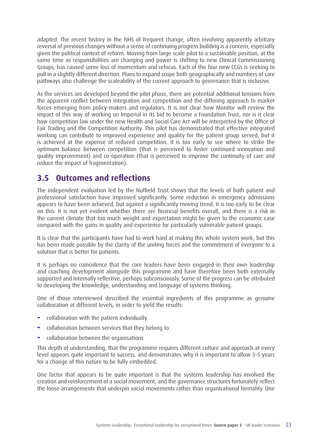adapted. The recent history in the NHS of frequent change, often involving apparently arbitrary reversal of previous changes without a sense of continuing progress building is a concern, especially given the political context of reform. Moving from large scale pilot to a sustainable position, at the same time as responsibilities are changing and power is shifting to new Clinical Commissioning Groups, has caused some loss of momentum and refocus. Each of the four new CCGs is seeking to pull in a slightly different direction. Plans to expand scope both geographically and numbers of care pathways also challenge the scaleability of the current approach to governance that is inclusive.

As the services are developed beyond the pilot phase, there are potential additional tensions from the apparent conflict between integration and competition and the differing approach to market forces emerging from policy-makers and regulators. It is not clear how Monitor will review the impact of this way of working on Imperial in its bid to become a Foundation Trust, nor is it clear how competition law under the new Health and Social Care Act will be interpreted by the Office of Fair Trading and the Competition Authority. This pilot has demonstrated that effective integrated working can contribute to improved experience and quality for the patient group served, but it is achieved at the expense of reduced competition. It is too early to see where to strike the optimum balance between competition (that is perceived to foster continued innovation and quality improvement) and co-operation (that is perceived to improve the continuity of care and reduce the impact of fragmentation).

#### **3.5 Outcomes and reflections**

The independent evaluation led by the Nuffield Trust shows that the levels of both patient and professional satisfaction have improved significantly. Some reduction in emergency admissions appears to have been achieved, but against a significantly moving trend, it is too early to be clear on this. It is not yet evident whether there are financial benefits overall, and there is a risk in the current climate that too much weight and expectation might be given to the economic case compared with the gains in quality and experience for particularly vulnerable patient groups.

It is clear that the participants have had to work hard at making this whole system work, but this has been made possible by the clarity of the uniting forces and the commitment of everyone to a solution that is better for patients.

It is perhaps no coincidence that the core leaders have been engaged in their own leadership and coaching development alongside this programme and have therefore been both externally supported and internally reflective, perhaps subconsciously. Some of the progress can be attributed to developing the knowledge, understanding and language of systems thinking.

One of those interviewed described the essential ingredients of this programme as genuine collaboration at different levels, in order to yield the results:

- **−** collaboration with the patient individually
- **−** collaboration between services that they belong to
- **−** collaboration between the organisations

This depth of understanding, that the programme requires different culture and approach at every level appears quite important to success, and demonstrates why it is important to allow 3-5 years for a change of this nature to be fully embedded.

One factor that appears to be quite important is that the systems leadership has involved the creation and reinforcement of a social movement, and the governance structures fortunately reflect the loose arrangements that underpin social movements rather than organisational formality. One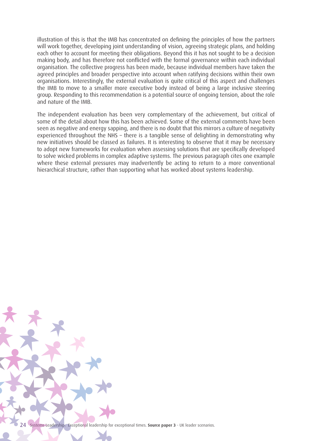illustration of this is that the IMB has concentrated on defining the principles of how the partners will work together, developing joint understanding of vision, agreeing strategic plans, and holding each other to account for meeting their obligations. Beyond this it has not sought to be a decision making body, and has therefore not conflicted with the formal governance within each individual organisation. The collective progress has been made, because individual members have taken the agreed principles and broader perspective into account when ratifying decisions within their own organisations. Interestingly, the external evaluation is quite critical of this aspect and challenges the IMB to move to a smaller more executive body instead of being a large inclusive steering group. Responding to this recommendation is a potential source of ongoing tension, about the role and nature of the IMB.

The independent evaluation has been very complementary of the achievement, but critical of some of the detail about how this has been achieved. Some of the external comments have been seen as negative and energy sapping, and there is no doubt that this mirrors a culture of negativity experienced throughout the NHS – there is a tangible sense of delighting in demonstrating why new initiatives should be classed as failures. It is interesting to observe that it may be necessary to adopt new frameworks for evaluation when assessing solutions that are specifically developed to solve wicked problems in complex adaptive systems. The previous paragraph cites one example where these external pressures may inadvertently be acting to return to a more conventional hierarchical structure, rather than supporting what has worked about systems leadership.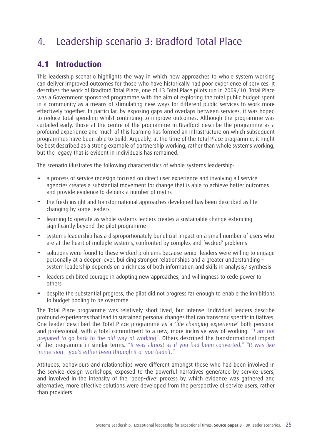# 4. Leadership scenario 3: Bradford Total Place

### **4.1 Introduction**

This leadership scenario highlights the way in which new approaches to whole system working can deliver improved outcomes for those who have historically had poor experience of services. It describes the work of Bradford Total Place, one of 13 Total Place pilots run in 2009/10. Total Place was a Government sponsored programme with the aim of exploring the total public budget spent in a community as a means of stimulating new ways for different public services to work more effectively together. In particular, by exposing gaps and overlaps between services, it was hoped to reduce total spending whilst continuing to improve outcomes. Although the programme was curtailed early, those at the centre of the programme in Bradford describe the programme as a profound experience and much of this learning has formed an infrastructure on which subsequent programmes have been able to build. Arguably, at the time of the Total Place programme, it might be best described as a strong example of partnership working, rather than whole systems working, but the legacy that is evident in individuals has remained.

The scenario illustrates the following characteristics of whole systems leadership:

- **−** a process of service redesign focused on direct user experience and involving all service agencies creates a substantial movement for change that is able to achieve better outcomes and provide evidence to debunk a number of myths
- **−** the fresh insight and transformational approaches developed has been described as lifechanging by some leaders
- **−** learning to operate as whole systems leaders creates a sustainable change extending significantly beyond the pilot programme
- **−** systems leadership has a disproportionately beneficial impact on a small number of users who are at the heart of multiple systems, confronted by complex and 'wicked' problems
- **−** solutions were found to these wicked problems because senior leaders were willing to engage personally at a deeper level, building stronger relationships and a greater understanding – system leadership depends on a richness of both information and skills in analysis/ synthesis
- **−** leaders exhibited courage in adopting new approaches, and willingness to cede power to others
- **−** despite the substantial progress, the pilot did not progress far enough to enable the inhibitions to budget pooling to be overcome.

The Total Place programme was relatively short lived, but intense. Individual leaders describe profound experiences that lead to sustained personal changes that can transcend specific initiatives. One leader described the Total Place programme as a 'life-changing experience' both personal and professional, with a total commitment to a new, more inclusive way of working. "I am not prepared to go back to the old way of working". Others described the transformational impact of the programme in similar terms. "It was almost as if you had been converted." "It was like immersion – you'd either been through it or you hadn't."

Attitudes, behaviours and relationships were different amongst those who had been involved in the service design workshops, exposed to the powerful narratives generated by service users, and involved in the intensity of the 'deep-dive' process by which evidence was gathered and alternative, more effective solutions were developed from the perspective of service users, rather than providers.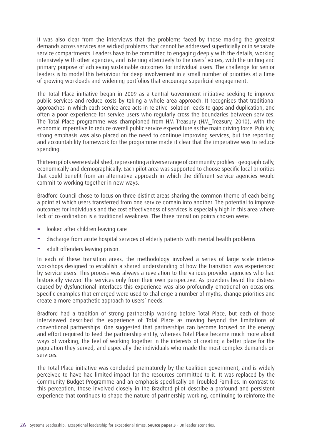It was also clear from the interviews that the problems faced by those making the greatest demands across services are wicked problems that cannot be addressed superficially or in separate service compartments. Leaders have to be committed to engaging deeply with the details, working intensively with other agencies, and listening attentively to the users' voices, with the uniting and primary purpose of achieving sustainable outcomes for individual users. The challenge for senior leaders is to model this behaviour for deep involvement in a small number of priorities at a time of growing workloads and widening portfolios that encourage superficial engagement.

The Total Place initiative began in 2009 as a Central Government initiative seeking to improve public services and reduce costs by taking a whole area approach. It recognises that traditional approaches in which each service area acts in relative isolation leads to gaps and duplication, and often a poor experience for service users who regularly cross the boundaries between services. The Total Place programme was championed from HM Treasury (HM\_Treasury, 2010), with the economic imperative to reduce overall public service expenditure as the main driving force. Publicly, strong emphasis was also placed on the need to continue improving services, but the reporting and accountability framework for the programme made it clear that the imperative was to reduce spending.

Thirteen pilots were established, representing a diverse range of community profiles – geographically, economically and demographically. Each pilot area was supported to choose specific local priorities that could benefit from an alternative approach in which the different service agencies would commit to working together in new ways.

Bradford Council chose to focus on three distinct areas sharing the common theme of each being a point at which users transferred from one service domain into another. The potential to improve outcomes for individuals and the cost effectiveness of services is especially high in this area where lack of co-ordination is a traditional weakness. The three transition points chosen were:

- **−** looked after children leaving care
- **−** discharge from acute hospital services of elderly patients with mental health problems
- **−** adult offenders leaving prison.

In each of these transition areas, the methodology involved a series of large scale intense workshops designed to establish a shared understanding of how the transition was experienced by service users. This process was always a revelation to the various provider agencies who had historically viewed the services only from their own perspective. As providers heard the distress caused by dysfunctional interfaces this experience was also profoundly emotional on occasions. Specific examples that emerged were used to challenge a number of myths, change priorities and create a more empathetic approach to users' needs.

Bradford had a tradition of strong partnership working before Total Place, but each of those interviewed described the experience of Total Place as moving beyond the limitations of conventional partnerships. One suggested that partnerships can become focused on the energy and effort required to feed the partnership entity, whereas Total Place became much more about ways of working, the feel of working together in the interests of creating a better place for the population they served, and especially the individuals who made the most complex demands on services.

The Total Place initiative was concluded prematurely by the Coalition government, and is widely perceived to have had limited impact for the resources committed to it. It was replaced by the Community Budget Programme and an emphasis specifically on Troubled Families. In contrast to this perception, those involved closely in the Bradford pilot describe a profound and persistent experience that continues to shape the nature of partnership working, continuing to reinforce the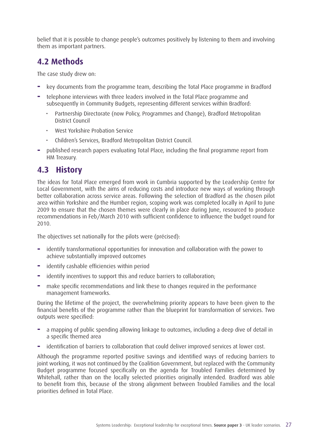belief that it is possible to change people's outcomes positively by listening to them and involving them as important partners.

### **4.2 Methods**

The case study drew on:

- **−** key documents from the programme team, describing the Total Place programme in Bradford
- **−** telephone interviews with three leaders involved in the Total Place programme and subsequently in Community Budgets, representing different services within Bradford:
	- Partnership Directorate (now Policy, Programmes and Change), Bradford Metropolitan District Council
	- West Yorkshire Probation Service
	- Children's Services, Bradford Metropolitan District Council.
- **−** published research papers evaluating Total Place, including the final programme report from HM Treasury.

### **4.3 History**

The ideas for Total Place emerged from work in Cumbria supported by the Leadership Centre for Local Government, with the aims of reducing costs and introduce new ways of working through better collaboration across service areas. Following the selection of Bradford as the chosen pilot area within Yorkshire and the Humber region, scoping work was completed locally in April to June 2009 to ensure that the chosen themes were clearly in place during June, resourced to produce recommendations in Feb/March 2010 with sufficient confidence to influence the budget round for 2010.

The objectives set nationally for the pilots were (précised):

- **−** identify transformational opportunities for innovation and collaboration with the power to achieve substantially improved outcomes
- **−** identify cashable efficiencies within period
- **−** identify incentives to support this and reduce barriers to collaboration;
- **−** make specific recommendations and link these to changes required in the performance management frameworks.

During the lifetime of the project, the overwhelming priority appears to have been given to the financial benefits of the programme rather than the blueprint for transformation of services. Two outputs were specified:

- **−** a mapping of public spending allowing linkage to outcomes, including a deep dive of detail in a specific themed area
- **−** identification of barriers to collaboration that could deliver improved services at lower cost.

Although the programme reported positive savings and identified ways of reducing barriers to joint working, it was not continued by the Coalition Government, but replaced with the Community Budget programme focused specifically on the agenda for Troubled Families determined by Whitehall, rather than on the locally selected priorities originally intended. Bradford was able to benefit from this, because of the strong alignment between Troubled Families and the local priorities defined in Total Place.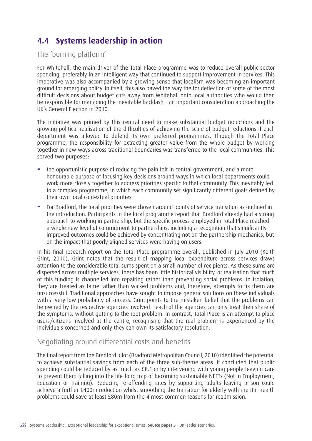### **4.4 Systems leadership in action**

#### The 'burning platform'

For Whitehall, the main driver of the Total Place programme was to reduce overall public sector spending, preferably in an intelligent way that continued to support improvement in services. This imperative was also accompanied by a growing sense that localism was becoming an important ground for emerging policy. In itself, this also paved the way the for deflection of some of the most difficult decisions about budget cuts away from Whitehall onto local authorities who would then be responsible for managing the inevitable backlash – an important consideration approaching the UK's General Election in 2010.

The initiative was primed by this central need to make substantial budget reductions and the growing political realisation of the difficulties of achieving the scale of budget reductions if each department was allowed to defend its own preferred programmes. Through the Total Place programme, the responsibility for extracting greater value from the whole budget by working together in new ways across traditional boundaries was transferred to the local communities. This served two purposes:

- **−** the opportunistic purpose of reducing the pain felt in central government, and a more honourable purpose of focusing key decisions around ways in which local departments could work more closely together to address priorities specific to that community. This inevitably led to a complex programme, in which each community set significantly different goals defined by their own local contextual priorities
- **−** For Bradford, the local priorities were chosen around points of service transition as outlined in the introduction. Participants in the local programme report that Bradford already had a strong approach to working in partnership, but the specific process employed in Total Place reached a whole new level of commitment to partnerships, including a recognition that significantly improved outcomes could be achieved by concentrating not on the partnership mechanics, but on the impact that poorly aligned services were having on users.

In his final research report on the Total Place programme overall, published in July 2010 (Keith Grint, 2010), Grint notes that the result of mapping local expenditure across services draws attention to the considerable total sums spent on a small number of recipients. As these sums are dispersed across multiple services, there has been little historical visibility, or realisation that much of this funding is channelled into repairing rather than preventing social problems. In isolation, they are treated as tame rather than wicked problems and, therefore, attempts to fix them are unsuccessful. Traditional approaches have sought to impose generic solutions on these individuals with a very low probability of success. Grint points to the mistaken belief that the problems can be owned by the respective agencies involved – each of the agencies can only treat their share of the symptoms, without getting to the root problem. In contrast, Total Place is an attempt to place users/citizens involved at the centre, recognising that the real problem is experienced by the individuals concerned and only they can own its satisfactory resolution.

#### Negotiating around differential costs and benefits

The final report from the Bradford pilot (Bradford Metropolitan Council, 2010) identified the potential to achieve substantial savings from each of the three sub-theme areas. It concluded that public spending could be reduced by as much as £8.1bn by intervening with young people leaving care to prevent them falling into the life-long trap of becoming sustainable NEETs (Not in Employment, Education or Training). Reducing re-offending rates by supporting adults leaving prison could achieve a further £400m reduction whilst smoothing the transition for elderly with mental health problems could save at least £80m from the 4 most common reasons for readmission.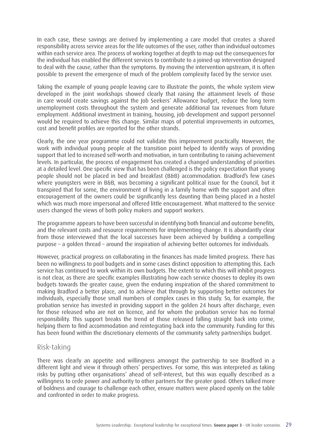In each case, these savings are derived by implementing a care model that creates a shared responsibility across service areas for the life outcomes of the user, rather than individual outcomes within each service area. The process of working together at depth to map out the consequences for the individual has enabled the different services to contribute to a joined-up intervention designed to deal with the cause, rather than the symptoms. By moving the intervention upstream, it is often possible to prevent the emergence of much of the problem complexity faced by the service user.

Taking the example of young people leaving care to illustrate the points, the whole system view developed in the joint workshops showed clearly that raising the attainment levels of those in care would create savings against the Job Seekers' Allowance budget, reduce the long term unemployment costs throughout the system and generate additional tax revenues from future employment. Additional investment in training, housing, job development and support personnel would be required to achieve this change. Similar maps of potential improvements in outcomes, cost and benefit profiles are reported for the other strands.

Clearly, the one year programme could not validate this improvement practically. However, the work with individual young people at the transition point helped to identify ways of providing support that led to increased self-worth and motivation, in turn contributing to raising achievement levels. In particular, the process of engagement has created a changed understanding of priorities at a detailed level. One specific view that has been challenged is the policy expectation that young people should not be placed in bed and breakfast (B&B) accommodation. Bradford's few cases where youngsters were in B&B, was becoming a significant political issue for the Council, but it transpired that for some, the environment of living in a family home with the support and often encouragement of the owners could be significantly less daunting than being placed in a hostel which was much more impersonal and offered little encouragement. What mattered to the service users changed the views of both policy makers and support workers.

The programme appears to have been successful in identifying both financial and outcome benefits, and the relevant costs and resource requirements for implementing change. It is abundantly clear from those interviewed that the local successes have been achieved by building a compelling purpose – a golden thread – around the inspiration of achieving better outcomes for individuals.

However, practical progress on collaborating in the finances has made limited progress. There has been no willingness to pool budgets and in some cases distinct opposition to attempting this. Each service has continued to work within its own budgets. The extent to which this will inhibit progress is not clear, as there are specific examples illustrating how each service chooses to deploy its own budgets towards the greater cause, given the enduring inspiration of the shared commitment to making Bradford a better place, and to achieve that through by supporting better outcomes for individuals, especially those small numbers of complex cases in this study. So, for example, the probation service has invested in providing support in the golden 24 hours after discharge, even for those released who are not on licence, and for whom the probation service has no formal responsibility. This support breaks the trend of those released falling straight back into crime, helping them to find accommodation and reintegrating back into the community. Funding for this has been found within the discretionary elements of the community safety partnerships budget.

#### Risk-taking

There was clearly an appetite and willingness amongst the partnership to see Bradford in a different light and view it through others' perspectives. For some, this was interpreted as taking risks by putting other organisations' ahead of self-interest, but this was equally described as a willingness to cede power and authority to other partners for the greater good. Others talked more of boldness and courage to challenge each other, ensure matters were placed openly on the table and confronted in order to make progress.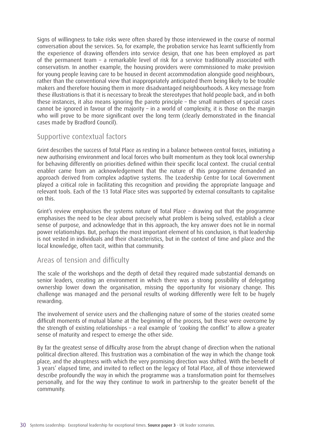Signs of willingness to take risks were often shared by those interviewed in the course of normal conversation about the services. So, for example, the probation service has learnt sufficiently from the experience of drawing offenders into service design, that one has been employed as part of the permanent team – a remarkable level of risk for a service traditionally associated with conservatism. In another example, the housing providers were commissioned to make provision for young people leaving care to be housed in decent accommodation alongside good neighbours, rather than the conventional view that inappropriately anticipated them being likely to be trouble makers and therefore housing them in more disadvantaged neighbourhoods. A key message from these illustrations is that it is necessary to break the stereotypes that hold people back, and in both these instances, it also means ignoring the pareto principle – the small numbers of special cases cannot be ignored in favour of the majority – in a world of complexity, it is those on the margin who will prove to be more significant over the long term (clearly demonstrated in the financial cases made by Bradford Council).

#### Supportive contextual factors

Grint describes the success of Total Place as resting in a balance between central forces, initiating a new authorising environment and local forces who built momentum as they took local ownership for behaving differently on priorities defined within their specific local context. The crucial central enabler came from an acknowledgement that the nature of this programme demanded an approach derived from complex adaptive systems. The Leadership Centre for Local Government played a critical role in facilitating this recognition and providing the appropriate language and relevant tools. Each of the 13 Total Place sites was supported by external consultants to capitalise on this.

Grint's review emphasises the systems nature of Total Place – drawing out that the programme emphasises the need to be clear about precisely what problem is being solved, establish a clear sense of purpose, and acknowledge that in this approach, the key answer does not lie in normal power relationships. But, perhaps the most important element of his conclusion, is that leadership is not vested in individuals and their characteristics, but in the context of time and place and the local knowledge, often tacit, within that community.

#### Areas of tension and difficulty

The scale of the workshops and the depth of detail they required made substantial demands on senior leaders, creating an environment in which there was a strong possibility of delegating ownership lower down the organisation, missing the opportunity for visionary change. This challenge was managed and the personal results of working differently were felt to be hugely rewarding.

The involvement of service users and the challenging nature of some of the stories created some difficult moments of mutual blame at the beginning of the process, but these were overcome by the strength of existing relationships – a real example of 'cooking the conflict' to allow a greater sense of maturity and respect to emerge the other side.

By far the greatest sense of difficulty arose from the abrupt change of direction when the national political direction altered. This frustration was a combination of the way in which the change took place, and the abruptness with which the very promising direction was shifted. With the benefit of 3 years' elapsed time, and invited to reflect on the legacy of Total Place, all of those interviewed describe profoundly the way in which the programme was a transformation point for themselves personally, and for the way they continue to work in partnership to the greater benefit of the community.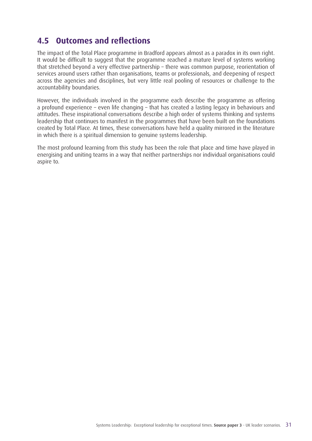### **4.5 Outcomes and reflections**

The impact of the Total Place programme in Bradford appears almost as a paradox in its own right. It would be difficult to suggest that the programme reached a mature level of systems working that stretched beyond a very effective partnership – there was common purpose, reorientation of services around users rather than organisations, teams or professionals, and deepening of respect across the agencies and disciplines, but very little real pooling of resources or challenge to the accountability boundaries.

However, the individuals involved in the programme each describe the programme as offering a profound experience – even life changing – that has created a lasting legacy in behaviours and attitudes. These inspirational conversations describe a high order of systems thinking and systems leadership that continues to manifest in the programmes that have been built on the foundations created by Total Place. At times, these conversations have held a quality mirrored in the literature in which there is a spiritual dimension to genuine systems leadership.

The most profound learning from this study has been the role that place and time have played in energising and uniting teams in a way that neither partnerships nor individual organisations could aspire to.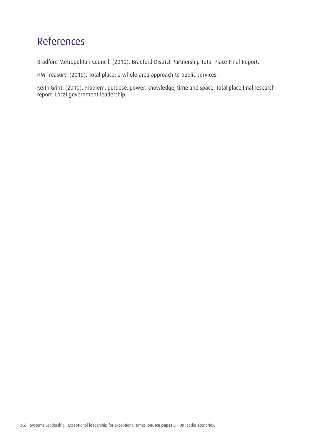## References

Bradford Metropolitan Council. (2010). Bradford District Partnership Total Place Final Report.

HM Treasury. (2010). Total place: a whole area approach to public services.

Keith Grint. (2010). Problem, purpose, power, knowledge, time and space: Total place final research report. Local government leadership.